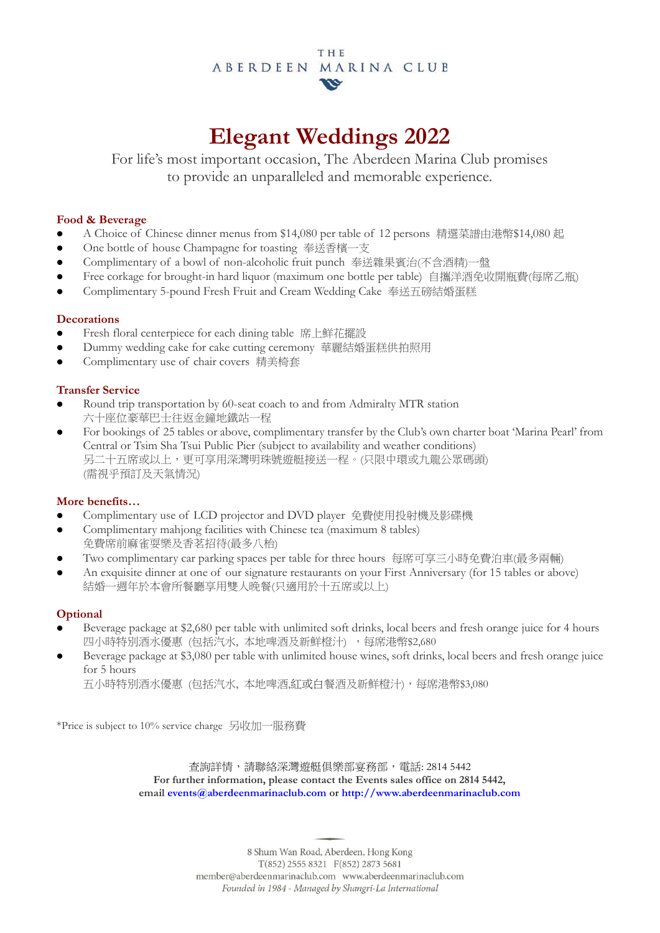### **THE** ABERDEEN MARINA CLUB  $\boldsymbol{w}$

# **Elegant Weddings 2022**

For life's most important occasion, The Aberdeen Marina Club promises to provide an unparalleled and memorable experience.

### **Food & Beverage**

- A Choice of Chinese dinner menus from \$14,080 per table of 12 persons 精選菜譜由港幣\$14,080 起
- One bottle of house Champagne for toasting 奉送香檳一支
- Complimentary of a bowl of non-alcoholic fruit punch 奉送雜果賓治(不含酒精)一盤
- Free corkage for brought-in hard liquor (maximum one bottle per table) 自攜洋酒免收開瓶費(每席乙瓶)
- Complimentary 5-pound Fresh Fruit and Cream Wedding Cake 奉送五磅結婚蛋糕

## **Decorations**

- Fresh floral centerpiece for each dining table 席上鮮花擺設
- Dummy wedding cake for cake cutting ceremony 華麗結婚蛋糕供拍照用
- Complimentary use of chair covers 精美椅套

## **Transfer Service**

- Round trip transportation by 60-seat coach to and from Admiralty MTR station 六十座位豪華巴士往返金鐘地鐵站一程
- For bookings of 25 tables or above, complimentary transfer by the Club's own charter boat 'Marina Pearl' from Central or Tsim Sha Tsui Public Pier (subject to availability and weather conditions) 另二十五席或以上,更可享用深灣明珠號遊艇接送一程。(只限中環或九龍公眾碼頭) (需視乎預訂及天氣情況)

## **More benefits…**

- Complimentary use of LCD projector and DVD player 免費使用投射機及影碟機
- Complimentary mahjong facilities with Chinese tea (maximum 8 tables) 免費席前麻雀耍樂及香茗招待(最多八枱)
- Two complimentary car parking spaces per table for three hours 每席可享三小時免費泊車(最多兩輛)
- An exquisite dinner at one of our signature restaurants on your First Anniversary (for 15 tables or above) 結婚一週年於本會所餐廳享用雙人晚餐(只適用於十五席或以上)

# **Optional**

- Beverage package at \$2,680 per table with unlimited soft drinks, local beers and fresh orange juice for 4 hours 四小時特別酒水優惠 (包括汽水, 本地啤酒及新鮮橙汁), 每席港幣\$2,680
- Beverage package at \$3,080 per table with unlimited house wines, soft drinks, local beers and fresh orange juice for 5 hours

五小時特別酒水優惠 (包括汽水, 本地啤酒,紅或白餐酒及新鮮橙汁),每席港幣\$3,080

\*Price is subject to 10% service charge 另收加一服務費

查詢詳情,請聯絡深灣遊艇俱樂部宴務部,電話: 2814 5442 **For further information, please contact the Events sales office on 2814 5442, email [events@aberdeenmarinaclub.com](mailto:events@aberdeenmarinaclub.com) or [http://www.aberdeenmarinaclub.com](http://www.aberdeenmarinaclub.com/)**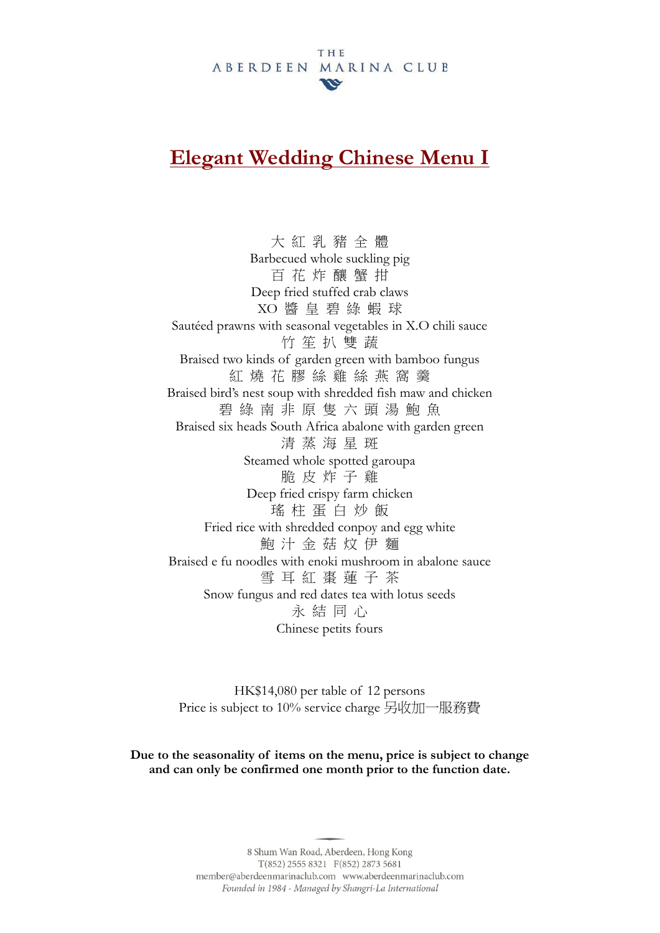#### THE ABERDEEN MARINA CLUB  $\boldsymbol{\omega}$

# **Elegant Wedding Chinese Menu I**

大 紅 乳 豬 全 體 Barbecued whole suckling pig 百 花 炸 釀 蟹 拑 Deep fried stuffed crab claws XO 醬 皇 碧 綠 蝦 球 Sautéed prawns with seasonal vegetables in X.O chili sauce 竹 笙 扒 雙 蔬 Braised two kinds of garden green with bamboo fungus 紅 燒 花 膠 絲 雞 絲 燕 窩 羹 Braised bird's nest soup with shredded fish maw and chicken 碧 綠 南 非 原 隻 六 頭 湯 鮑 魚 Braised six heads South Africa abalone with garden green 清 蒸 海 星 斑 Steamed whole spotted garoupa 脆 皮 炸 子 雞 Deep fried crispy farm chicken 瑤 柱 蛋 白 炒 飯 Fried rice with shredded conpoy and egg white 鮑 汁 金 菇 炆 伊 麵 Braised e fu noodles with enoki mushroom in abalone sauce 雪 耳 紅 棗 蓮 子 茶 Snow fungus and red dates tea with lotus seeds 永 結 同 心 Chinese petits fours

HK\$14,080 per table of 12 persons Price is subject to 10% service charge 另收加一服務費

**Due to the seasonality of items on the menu, price is subject to change and can only be confirmed one month prior to the function date.**

> 8 Shum Wan Road, Aberdeen, Hong Kong  $T(852)$  2555 8321  $F(852)$  2873 5681 member@aberdeenmarinaclub.com www.aberdeenmarinaclub.com Founded in 1984 - Managed by Shangri-La International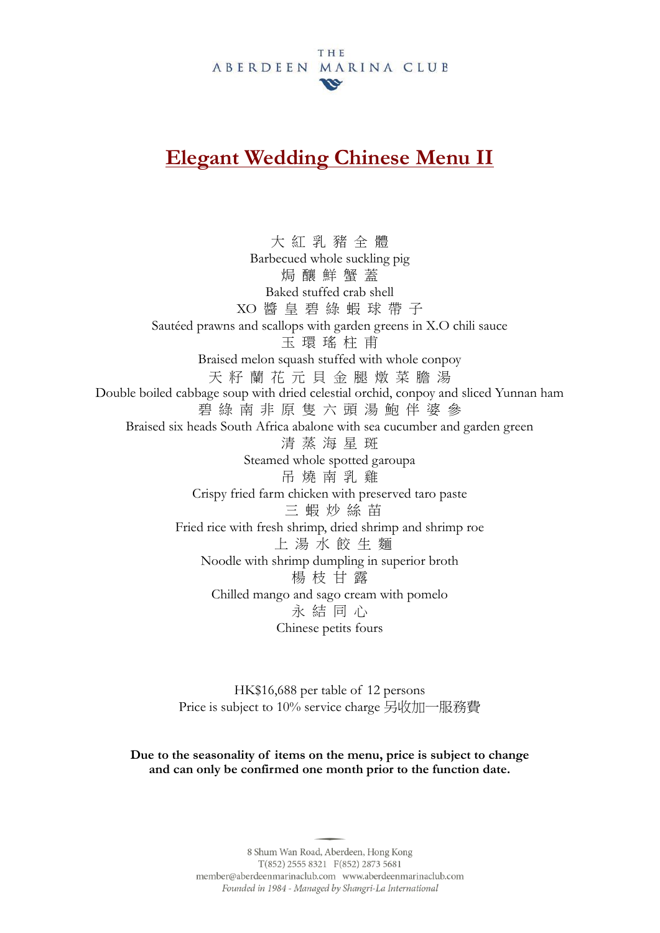#### THE ABERDEEN MARINA CLUB  $\boldsymbol{\omega}$

# **Elegant Wedding Chinese Menu II**

大 紅 乳 豬 全 體 Barbecued whole suckling pig 焗 釀 鮮 蟹 蓋 Baked stuffed crab shell XO 醬 皇 碧 綠 蝦 球 帶 子 Sautéed prawns and scallops with garden greens in X.O chili sauce 玉 環 瑤 柱 甫 Braised melon squash stuffed with whole conpoy 天 籽 蘭 花 元 貝 金 腿 燉 菜 膽 湯 Double boiled cabbage soup with dried celestial orchid, conpoy and sliced Yunnan ham 碧 綠 南 非 原 隻 六 頭 湯 鮑 伴 婆 參 Braised six heads South Africa abalone with sea cucumber and garden green 清 蒸 海 星 斑 Steamed whole spotted garoupa 吊 燒 南 乳 雞 Crispy fried farm chicken with preserved taro paste 三 蝦 炒 絲 苗 Fried rice with fresh shrimp, dried shrimp and shrimp roe 上 湯 水 餃 生 麵 Noodle with shrimp dumpling in superior broth 楊 枝 甘 露 Chilled mango and sago cream with pomelo 永 結 同 心 Chinese petits fours

> HK\$16,688 per table of 12 persons Price is subject to 10% service charge 另收加一服務費

**Due to the seasonality of items on the menu, price is subject to change and can only be confirmed one month prior to the function date.**

> 8 Shum Wan Road, Aberdeen, Hong Kong  $T(852)$  2555 8321  $F(852)$  2873 5681 member@aberdeenmarinaclub.com www.aberdeenmarinaclub.com Founded in 1984 - Managed by Shangri-La International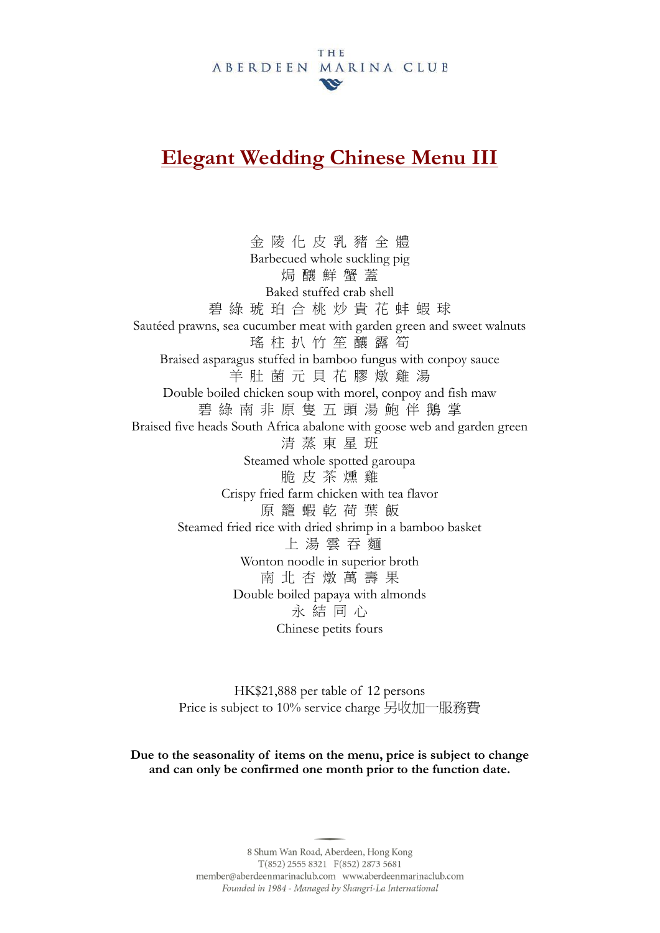#### THE ABERDEEN MARINA CLUB  $\boldsymbol{w}$

# **Elegant Wedding Chinese Menu III**

金 陵 化 皮 乳 豬 全 體 Barbecued whole suckling pig 焗 釀 鮮 蟹 蓋 Baked stuffed crab shell 碧 綠 琥 珀 合 桃 炒 貴 花 蚌 蝦 球 Sautéed prawns, sea cucumber meat with garden green and sweet walnuts 瑤 柱 扒 竹 笙 釀 露 筍 Braised asparagus stuffed in bamboo fungus with conpoy sauce 羊 肚 菌 元 貝 花 膠 燉 雞 湯 Double boiled chicken soup with morel, conpoy and fish maw 碧 綠 南 非 原 隻 五 頭 湯 鮑 伴 鵝 掌 Braised five heads South Africa abalone with goose web and garden green 清 蒸 東 星 班 Steamed whole spotted garoupa 脆 皮 茶 燻 雞 Crispy fried farm chicken with tea flavor 原 籠 蝦 乾 荷 葉 飯 Steamed fried rice with dried shrimp in a bamboo basket 上 湯 雲 吞 麵 Wonton noodle in superior broth 南 北 杏 燉 萬 壽 果 Double boiled papaya with almonds 永 結 同 心 Chinese petits fours

> HK\$21,888 per table of 12 persons Price is subject to 10% service charge 另收加一服務費

**Due to the seasonality of items on the menu, price is subject to change and can only be confirmed one month prior to the function date.**

> 8 Shum Wan Road, Aberdeen, Hong Kong T(852) 2555 8321 F(852) 2873 5681 member@aberdeenmarinaclub.com www.aberdeenmarinaclub.com Founded in 1984 - Managed by Shangri-La International